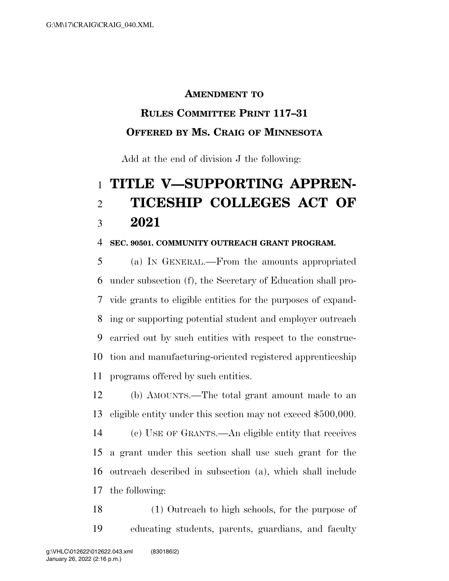#### **AMENDMENT TO**

## **RULES COMMITTEE PRINT 117–31 OFFERED BY MS. CRAIG OF MINNESOTA**

Add at the end of division J the following:

# **TITLE V—SUPPORTING APPREN- TICESHIP COLLEGES ACT OF 2021**

#### **SEC. 90501. COMMUNITY OUTREACH GRANT PROGRAM.**

 (a) IN GENERAL.—From the amounts appropriated under subsection (f), the Secretary of Education shall pro- vide grants to eligible entities for the purposes of expand- ing or supporting potential student and employer outreach carried out by such entities with respect to the construc- tion and manufacturing-oriented registered apprenticeship programs offered by such entities.

 (b) AMOUNTS.—The total grant amount made to an eligible entity under this section may not exceed \$500,000.

 (c) USE OF GRANTS.—An eligible entity that receives a grant under this section shall use such grant for the outreach described in subsection (a), which shall include the following:

 (1) Outreach to high schools, for the purpose of educating students, parents, guardians, and faculty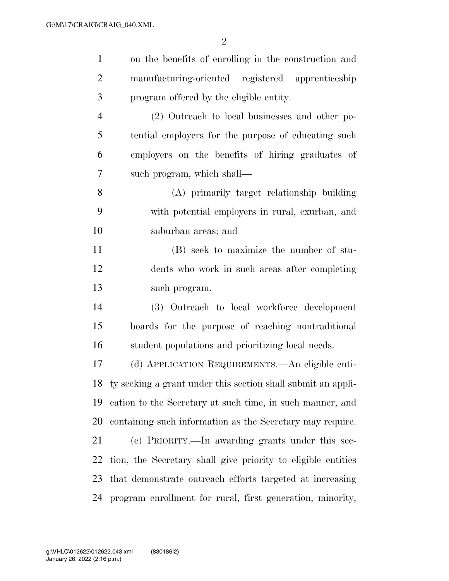| $\mathbf{1}$   | on the benefits of enrolling in the construction and         |
|----------------|--------------------------------------------------------------|
| $\overline{c}$ | manufacturing-oriented registered apprenticeship             |
| 3              | program offered by the eligible entity.                      |
| $\overline{4}$ | (2) Outreach to local businesses and other po-               |
| 5              | tential employers for the purpose of educating such          |
| 6              | employers on the benefits of hiring graduates of             |
| $\tau$         | such program, which shall—                                   |
| 8              | (A) primarily target relationship building                   |
| 9              | with potential employers in rural, exurban, and              |
| 10             | suburban areas; and                                          |
| 11             | (B) seek to maximize the number of stu-                      |
| 12             | dents who work in such areas after completing                |
| 13             | such program.                                                |
| 14             | (3) Outreach to local workforce development                  |
| 15             | boards for the purpose of reaching nontraditional            |
| 16             | student populations and prioritizing local needs.            |
| 17             | (d) APPLICATION REQUIREMENTS.—An eligible enti-              |
| 18             | ty seeking a grant under this section shall submit an appli- |
| 19             | cation to the Secretary at such time, in such manner, and    |
| 20             | containing such information as the Secretary may require.    |
| 21             | (e) PRIORITY.—In awarding grants under this sec-             |
| 22             | tion, the Secretary shall give priority to eligible entities |
| 23             | that demonstrate outreach efforts targeted at increasing     |
| 24             | program enrollment for rural, first generation, minority,    |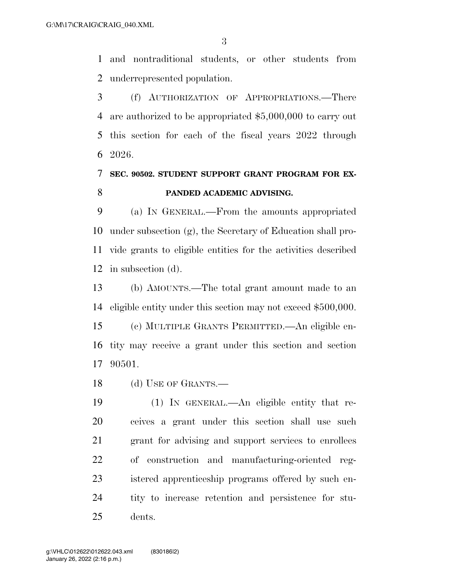and nontraditional students, or other students from underrepresented population.

 (f) AUTHORIZATION OF APPROPRIATIONS.—There are authorized to be appropriated \$5,000,000 to carry out this section for each of the fiscal years 2022 through 2026.

## **SEC. 90502. STUDENT SUPPORT GRANT PROGRAM FOR EX-PANDED ACADEMIC ADVISING.**

 (a) IN GENERAL.—From the amounts appropriated under subsection (g), the Secretary of Education shall pro- vide grants to eligible entities for the activities described in subsection (d).

 (b) AMOUNTS.—The total grant amount made to an eligible entity under this section may not exceed \$500,000. (c) MULTIPLE GRANTS PERMITTED.—An eligible en-tity may receive a grant under this section and section

90501.

18 (d) USE OF GRANTS.—

 (1) IN GENERAL.—An eligible entity that re- ceives a grant under this section shall use such grant for advising and support services to enrollees of construction and manufacturing-oriented reg- istered apprenticeship programs offered by such en- tity to increase retention and persistence for stu-dents.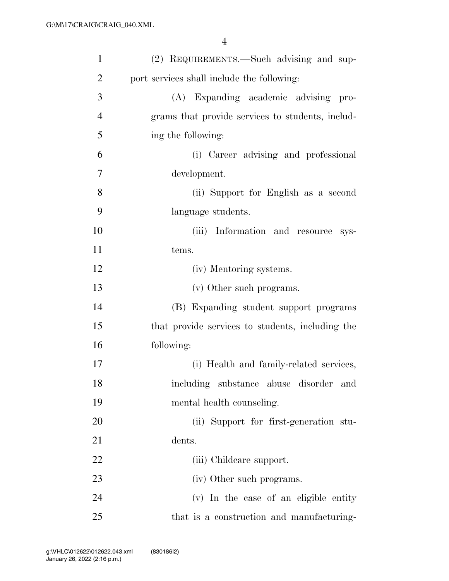| $\mathbf{1}$   | (2) REQUIREMENTS.—Such advising and sup-         |
|----------------|--------------------------------------------------|
| $\overline{2}$ | port services shall include the following:       |
| 3              | (A) Expanding academic advising<br>pro-          |
| $\overline{4}$ | grams that provide services to students, includ- |
| 5              | ing the following:                               |
| 6              | (i) Career advising and professional             |
| 7              | development.                                     |
| 8              | (ii) Support for English as a second             |
| 9              | language students.                               |
| 10             | (iii) Information and resource sys-              |
| 11             | tems.                                            |
| 12             | (iv) Mentoring systems.                          |
| 13             | (v) Other such programs.                         |
| 14             | (B) Expanding student support programs           |
| 15             | that provide services to students, including the |
| 16             | following:                                       |
| 17             | (i) Health and family-related services,          |
| 18             | including substance abuse disorder and           |
| 19             | mental health counseling.                        |
| 20             | (ii) Support for first-generation stu-           |
| 21             | dents.                                           |
| 22             | (iii) Childeare support.                         |
| 23             | (iv) Other such programs.                        |
| 24             | (v) In the case of an eligible entity            |
| 25             | that is a construction and manufacturing-        |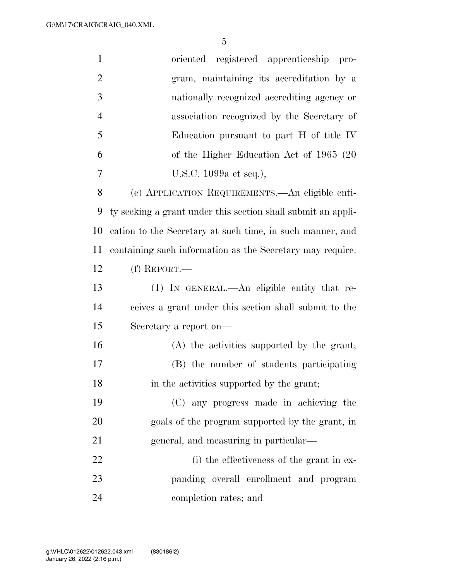| $\mathbf{1}$   | oriented registered apprenticeship<br>$\text{pro-}$          |
|----------------|--------------------------------------------------------------|
| $\overline{2}$ | gram, maintaining its accreditation by a                     |
| 3              | nationally recognized accrediting agency or                  |
| $\overline{4}$ | association recognized by the Secretary of                   |
| 5              | Education pursuant to part H of title IV                     |
| 6              | of the Higher Education Act of 1965 (20)                     |
| 7              | U.S.C. 1099a et seq.),                                       |
| 8              | (e) APPLICATION REQUIREMENTS.—An eligible enti-              |
| 9              | ty seeking a grant under this section shall submit an appli- |
| 10             | cation to the Secretary at such time, in such manner, and    |
| 11             | containing such information as the Secretary may require.    |
| 12             | $(f)$ REPORT.—                                               |
| 13             | (1) IN GENERAL.—An eligible entity that re-                  |
| 14             | ceives a grant under this section shall submit to the        |
| 15             | Secretary a report on—                                       |
| 16             | (A) the activities supported by the grant;                   |
| 17             | (B) the number of students participating                     |
| 18             | in the activities supported by the grant;                    |
| 19             | (C) any progress made in achieving the                       |
| 20             | goals of the program supported by the grant, in              |
| 21             | general, and measuring in particular—                        |
| 22             | (i) the effectiveness of the grant in ex-                    |
| 23             | panding overall enrollment and program                       |
| 24             | completion rates; and                                        |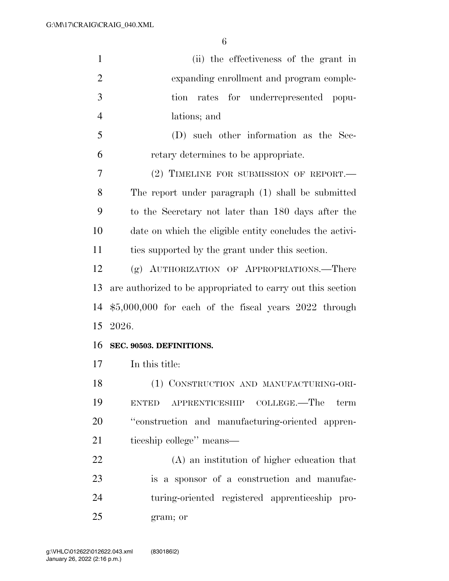| $\mathbf{1}$   | (ii) the effectiveness of the grant in                      |
|----------------|-------------------------------------------------------------|
| $\overline{2}$ | expanding enrollment and program comple-                    |
| 3              | tion rates for underrepresented popu-                       |
| $\overline{4}$ | lations; and                                                |
| 5              | (D) such other information as the Sec-                      |
| 6              | retary determines to be appropriate.                        |
| 7              | $(2)$ TIMELINE FOR SUBMISSION OF REPORT.—                   |
| 8              | The report under paragraph (1) shall be submitted           |
| 9              | to the Secretary not later than 180 days after the          |
| 10             | date on which the eligible entity concludes the activi-     |
| 11             | ties supported by the grant under this section.             |
| 12             | (g) AUTHORIZATION OF APPROPRIATIONS.—There                  |
| 13             | are authorized to be appropriated to carry out this section |
| 14             | $$5,000,000$ for each of the fiscal years 2022 through      |
| 15             | 2026.                                                       |
| 16             | SEC. 90503. DEFINITIONS.                                    |
| 17             | In this title:                                              |
| 18             | (1) CONSTRUCTION AND MANUFACTURING-ORI-                     |
| 19             | APPRENTICESHIP COLLEGE.—The<br>term<br><b>ENTED</b>         |
| 20             | "construction and manufacturing-oriented appren-            |
| 21             | ticeship college" means—                                    |
| 22             | (A) an institution of higher education that                 |
| 23             | is a sponsor of a construction and manufac-                 |
| 24             | turing-oriented registered apprenticeship pro-              |
| 25             | gram; or                                                    |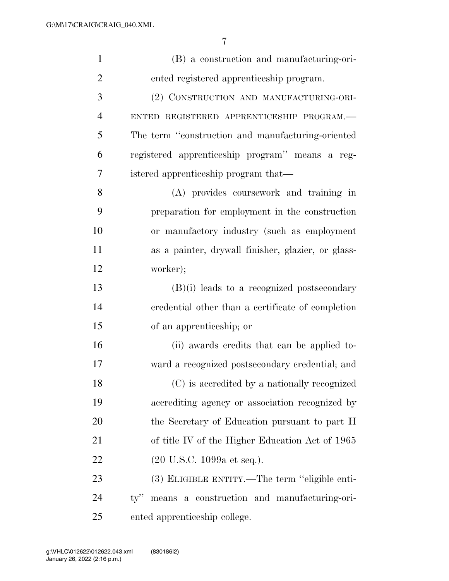| $\mathbf{1}$   | (B) a construction and manufacturing-ori-                  |
|----------------|------------------------------------------------------------|
| $\overline{2}$ | ented registered apprenticeship program.                   |
| 3              | (2) CONSTRUCTION AND MANUFACTURING-ORI-                    |
| $\overline{4}$ | ENTED REGISTERED APPRENTICESHIP PROGRAM.-                  |
| 5              | The term "construction and manufacturing-oriented          |
| 6              | registered apprenticeship program" means a reg-            |
| 7              | istered apprenticeship program that—                       |
| 8              | (A) provides coursework and training in                    |
| 9              | preparation for employment in the construction             |
| 10             | or manufactory industry (such as employment                |
| 11             | as a painter, drywall finisher, glazier, or glass-         |
| 12             | worker);                                                   |
| 13             | $(B)(i)$ leads to a recognized postsecondary               |
| 14             | credential other than a certificate of completion          |
| 15             | of an apprenticeship; or                                   |
| 16             | (ii) awards credits that can be applied to-                |
| 17             | ward a recognized postsecondary credential; and            |
| 18             | (C) is accredited by a nationally recognized               |
| 19             | accrediting agency or association recognized by            |
| 20             | the Secretary of Education pursuant to part H              |
| 21             | of title IV of the Higher Education Act of 1965            |
| 22             | $(20 \text{ U.S.C. } 1099a \text{ et seq.}).$              |
| 23             | (3) ELIGIBLE ENTITY.—The term "eligible enti-              |
| 24             | means a construction and manufacturing-ori-<br>$\rm{ty}$ " |
| 25             | ented apprenticeship college.                              |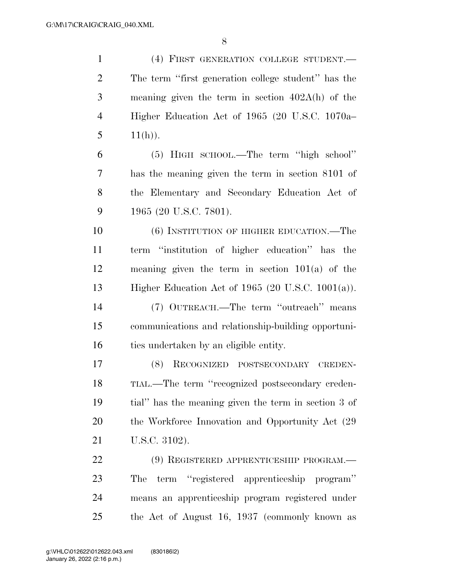(4) FIRST GENERATION COLLEGE STUDENT.— The term ''first generation college student'' has the meaning given the term in section 402A(h) of the Higher Education Act of 1965 (20 U.S.C. 1070a– 5  $11(h)$ ). (5) HIGH SCHOOL.—The term ''high school'' has the meaning given the term in section 8101 of the Elementary and Secondary Education Act of 1965 (20 U.S.C. 7801). (6) INSTITUTION OF HIGHER EDUCATION.—The term ''institution of higher education'' has the meaning given the term in section 101(a) of the Higher Education Act of 1965 (20 U.S.C. 1001(a)). (7) OUTREACH.—The term ''outreach'' means communications and relationship-building opportuni-16 ties undertaken by an eligible entity. (8) RECOGNIZED POSTSECONDARY CREDEN- TIAL.—The term ''recognized postsecondary creden- tial'' has the meaning given the term in section 3 of 20 the Workforce Innovation and Opportunity Act  $(29)$  U.S.C. 3102). (9) REGISTERED APPRENTICESHIP PROGRAM.— The term ''registered apprenticeship program'' means an apprenticeship program registered under the Act of August 16, 1937 (commonly known as